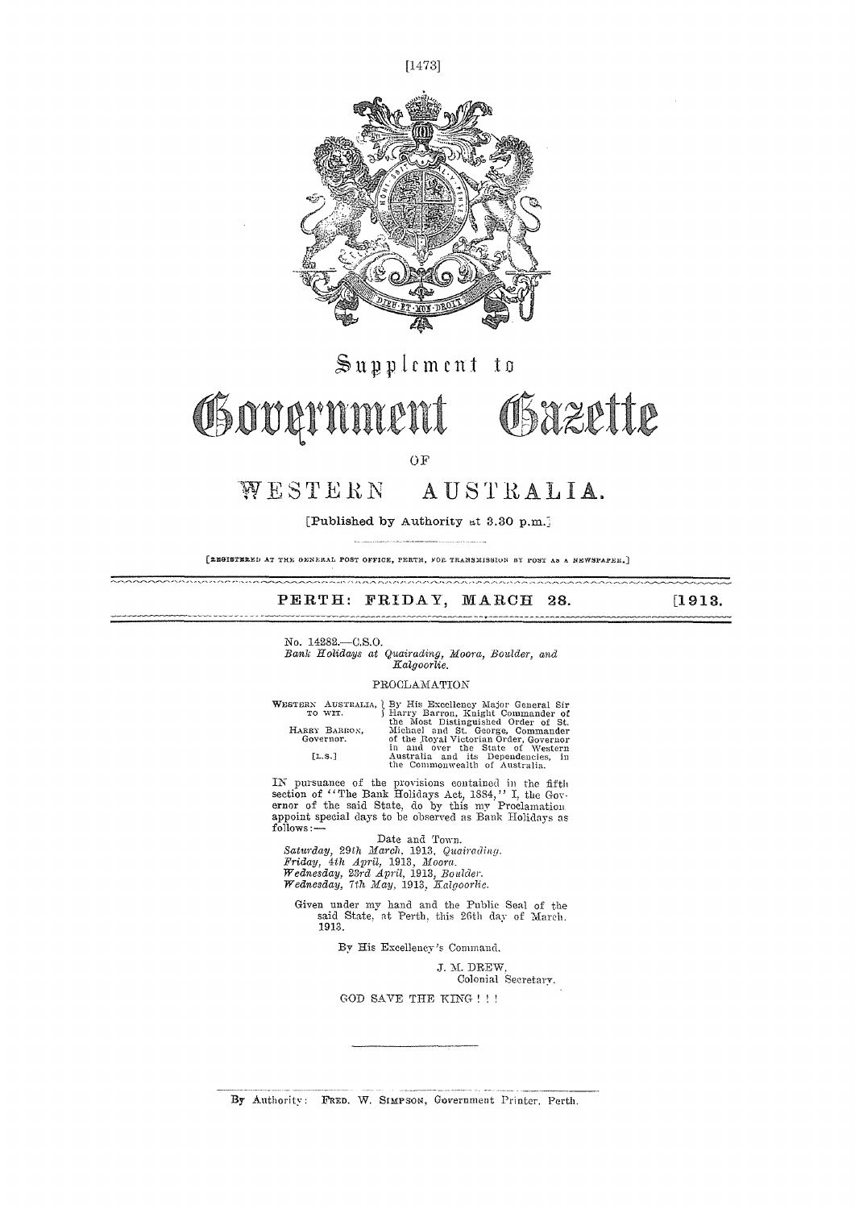

 $\mathbb{S}$ upplement to

Governmer



OF

### WESTERN AUSTRALIA.

[Published by Authority at 3.30 p.m.]

[ZRGISTERED AT THE GENERAL POST OFFICE, PERTH, FOR TRANSMISSION BY POST AS A NEWSPAPER.]

#### PERTH: FRIDAY, MARCH 28. [1913.

No. 14282.—O.S.O. *Bank Holidays at Quairading, Moora, Boulder, and Kalgoorlie.* 

#### PROCLAMATION

|               | WESTERN AUSTRALIA, By His Excellency Major General Sir |
|---------------|--------------------------------------------------------|
| TO WIT.       | Harry Barron, Knight Commander of                      |
|               | the Most Distinguished Order of St.                    |
| HARRY BARRON, | Michael and St. George, Commander                      |
| Governor.     | of the Royal Victorian Order, Governor                 |
|               | in and over the State of Western                       |
| [L.S.]        | Australia and its Dependencies, in                     |
|               | the Commonwealth of Australia.                         |

IN pursuance of the provisions contained in the fifth section of "The Bank Holidays Act, 1884," I, the Gov-<br>ernor of the said State, do by this my Proclamation<br>appoint special days to be observed as Bank Holidays as<br>follows:-

Date and Town.<br>Saturday, 29th March, 1913, Quairading.<br>Friday, 4th April, 1913, Moora.<br>Wednesday, 23rd April, 1913, Boulder.<br>Wednesday, 7th May, 1913, Kalgoorlie.

Given under my hand and the Public Seal of the said State, at Perth, this 26th day of March. 1913.

By His Excellency's Command.

J. M. DREW, Colonial Secretary.

GOD SAVE THE KING ! ! !

By Authority: FRED. W. SIMPSON, Government Printer, Perth.